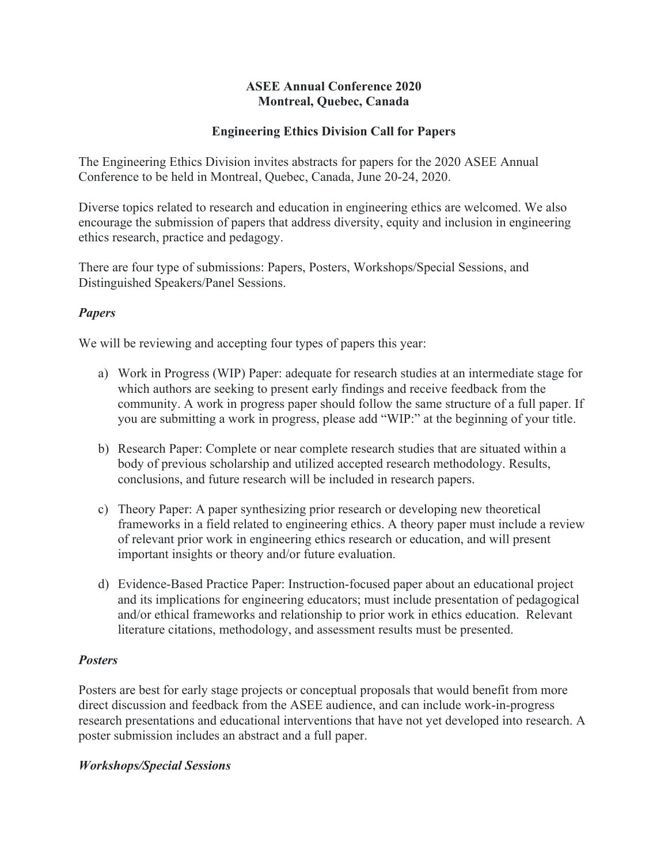### **ASEE Annual Conference 2020 Montreal, Quebec, Canada**

### **Engineering Ethics Division Call for Papers**

The Engineering Ethics Division invites abstracts for papers for the 2020 ASEE Annual Conference to be held in Montreal, Quebec, Canada, June 20-24, 2020.

Diverse topics related to research and education in engineering ethics are welcomed. We also encourage the submission of papers that address diversity, equity and inclusion in engineering ethics research, practice and pedagogy.

There are four type of submissions: Papers, Posters, Workshops/Special Sessions, and Distinguished Speakers/Panel Sessions.

# *Papers*

We will be reviewing and accepting four types of papers this year:

- a) Work in Progress (WIP) Paper: adequate for research studies at an intermediate stage for which authors are seeking to present early findings and receive feedback from the community. A work in progress paper should follow the same structure of a full paper. If you are submitting a work in progress, please add "WIP:" at the beginning of your title.
- b) Research Paper: Complete or near complete research studies that are situated within a body of previous scholarship and utilized accepted research methodology. Results, conclusions, and future research will be included in research papers.
- c) Theory Paper: A paper synthesizing prior research or developing new theoretical frameworks in a field related to engineering ethics. A theory paper must include a review of relevant prior work in engineering ethics research or education, and will present important insights or theory and/or future evaluation.
- d) Evidence-Based Practice Paper: Instruction-focused paper about an educational project and its implications for engineering educators; must include presentation of pedagogical and/or ethical frameworks and relationship to prior work in ethics education. Relevant literature citations, methodology, and assessment results must be presented.

# *Posters*

Posters are best for early stage projects or conceptual proposals that would benefit from more direct discussion and feedback from the ASEE audience, and can include work-in-progress research presentations and educational interventions that have not yet developed into research. A poster submission includes an abstract and a full paper.

#### *Workshops/Special Sessions*